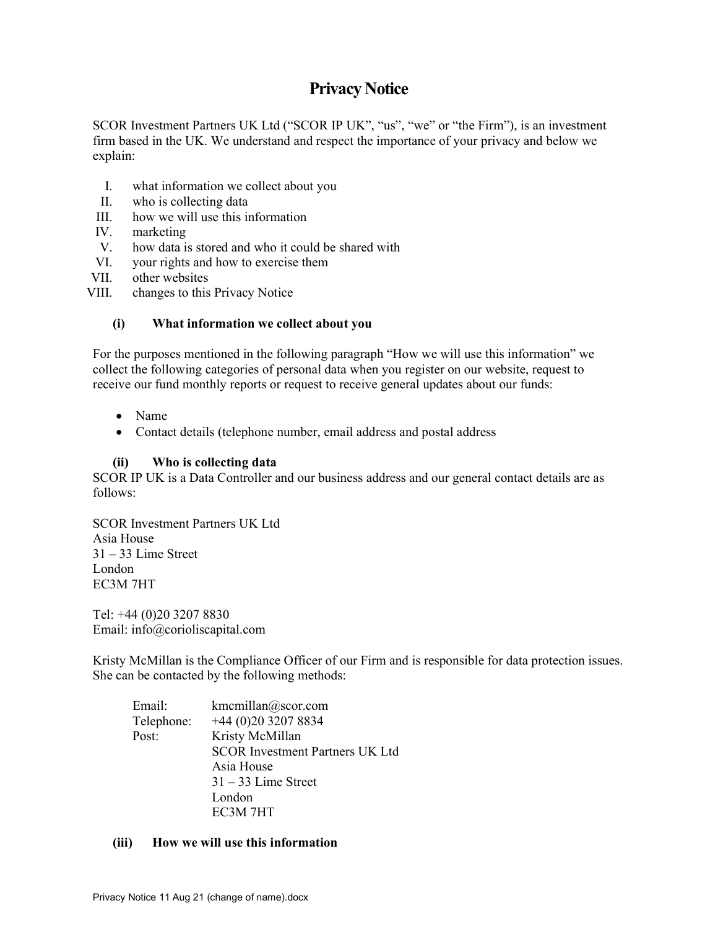# Privacy Notice

SCOR Investment Partners UK Ltd ("SCOR IP UK", "us", "we" or "the Firm"), is an investment firm based in the UK. We understand and respect the importance of your privacy and below we explain:

- I. what information we collect about you
- II. who is collecting data
- III. how we will use this information
- IV. marketing
- V. how data is stored and who it could be shared with
- VI. your rights and how to exercise them
- VII. other websites
- VIII. changes to this Privacy Notice

## (i) What information we collect about you

For the purposes mentioned in the following paragraph "How we will use this information" we collect the following categories of personal data when you register on our website, request to receive our fund monthly reports or request to receive general updates about our funds:

- Name
- Contact details (telephone number, email address and postal address

## (ii) Who is collecting data

SCOR IP UK is a Data Controller and our business address and our general contact details are as follows:

SCOR Investment Partners UK Ltd Asia House  $31 - 33$  Lime Street London EC3M 7HT

Tel: +44 (0)20 3207 8830 Email: info@corioliscapital.com

Kristy McMillan is the Compliance Officer of our Firm and is responsible for data protection issues. She can be contacted by the following methods:

Email: kmcmillan@scor.com Telephone: +44 (0)20 3207 8834 Post: Kristy McMillan SCOR Investment Partners UK Ltd Asia House 31 – 33 Lime Street London EC3M 7HT

### (iii) How we will use this information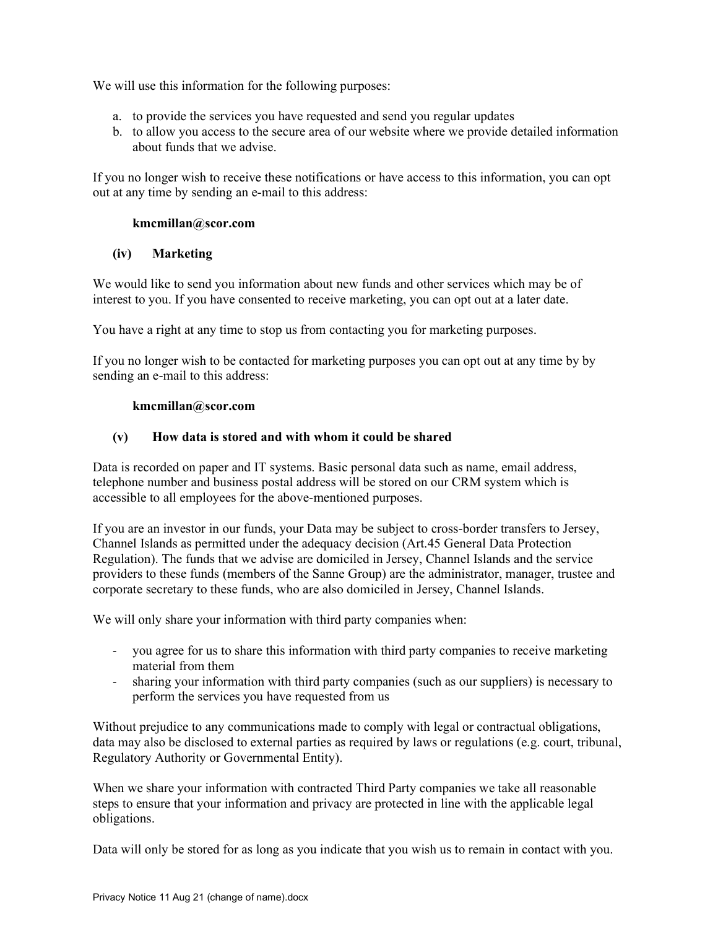We will use this information for the following purposes:

- a. to provide the services you have requested and send you regular updates
- b. to allow you access to the secure area of our website where we provide detailed information about funds that we advise.

If you no longer wish to receive these notifications or have access to this information, you can opt out at any time by sending an e-mail to this address:

## kmcmillan@scor.com

## (iv) Marketing

We would like to send you information about new funds and other services which may be of interest to you. If you have consented to receive marketing, you can opt out at a later date.

You have a right at any time to stop us from contacting you for marketing purposes.

If you no longer wish to be contacted for marketing purposes you can opt out at any time by by sending an e-mail to this address:

### kmcmillan@scor.com

## (v) How data is stored and with whom it could be shared

Data is recorded on paper and IT systems. Basic personal data such as name, email address, telephone number and business postal address will be stored on our CRM system which is accessible to all employees for the above-mentioned purposes.

If you are an investor in our funds, your Data may be subject to cross-border transfers to Jersey, Channel Islands as permitted under the adequacy decision (Art.45 General Data Protection Regulation). The funds that we advise are domiciled in Jersey, Channel Islands and the service providers to these funds (members of the Sanne Group) are the administrator, manager, trustee and corporate secretary to these funds, who are also domiciled in Jersey, Channel Islands.

We will only share your information with third party companies when:

- you agree for us to share this information with third party companies to receive marketing material from them
- sharing your information with third party companies (such as our suppliers) is necessary to perform the services you have requested from us

Without prejudice to any communications made to comply with legal or contractual obligations, data may also be disclosed to external parties as required by laws or regulations (e.g. court, tribunal, Regulatory Authority or Governmental Entity).

When we share your information with contracted Third Party companies we take all reasonable steps to ensure that your information and privacy are protected in line with the applicable legal obligations.

Data will only be stored for as long as you indicate that you wish us to remain in contact with you.